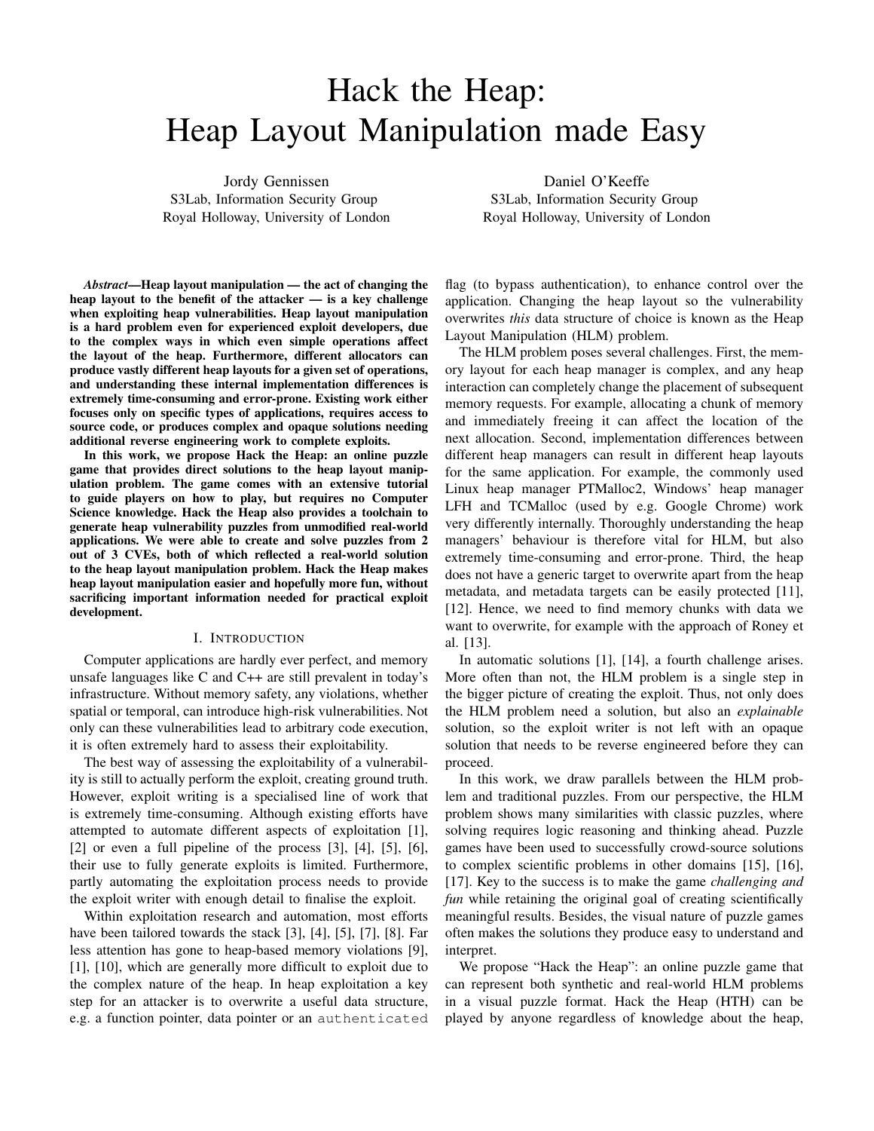# Hack the Heap: Heap Layout Manipulation made Easy

Jordy Gennissen S3Lab, Information Security Group Royal Holloway, University of London

Daniel O'Keeffe S3Lab, Information Security Group Royal Holloway, University of London

*Abstract*—Heap layout manipulation — the act of changing the heap layout to the benefit of the attacker — is a key challenge when exploiting heap vulnerabilities. Heap layout manipulation is a hard problem even for experienced exploit developers, due to the complex ways in which even simple operations affect the layout of the heap. Furthermore, different allocators can produce vastly different heap layouts for a given set of operations, and understanding these internal implementation differences is extremely time-consuming and error-prone. Existing work either focuses only on specific types of applications, requires access to source code, or produces complex and opaque solutions needing additional reverse engineering work to complete exploits.

In this work, we propose Hack the Heap: an online puzzle game that provides direct solutions to the heap layout manipulation problem. The game comes with an extensive tutorial to guide players on how to play, but requires no Computer Science knowledge. Hack the Heap also provides a toolchain to generate heap vulnerability puzzles from unmodified real-world applications. We were able to create and solve puzzles from 2 out of 3 CVEs, both of which reflected a real-world solution to the heap layout manipulation problem. Hack the Heap makes heap layout manipulation easier and hopefully more fun, without sacrificing important information needed for practical exploit development.

#### I. INTRODUCTION

Computer applications are hardly ever perfect, and memory unsafe languages like C and C++ are still prevalent in today's infrastructure. Without memory safety, any violations, whether spatial or temporal, can introduce high-risk vulnerabilities. Not only can these vulnerabilities lead to arbitrary code execution, it is often extremely hard to assess their exploitability.

The best way of assessing the exploitability of a vulnerability is still to actually perform the exploit, creating ground truth. However, exploit writing is a specialised line of work that is extremely time-consuming. Although existing efforts have attempted to automate different aspects of exploitation [1],  $[2]$  or even a full pipeline of the process  $[3]$ ,  $[4]$ ,  $[5]$ ,  $[6]$ , their use to fully generate exploits is limited. Furthermore, partly automating the exploitation process needs to provide the exploit writer with enough detail to finalise the exploit.

Within exploitation research and automation, most efforts have been tailored towards the stack [3], [4], [5], [7], [8]. Far less attention has gone to heap-based memory violations [9], [1], [10], which are generally more difficult to exploit due to the complex nature of the heap. In heap exploitation a key step for an attacker is to overwrite a useful data structure, e.g. a function pointer, data pointer or an authenticated

flag (to bypass authentication), to enhance control over the application. Changing the heap layout so the vulnerability overwrites *this* data structure of choice is known as the Heap Layout Manipulation (HLM) problem.

The HLM problem poses several challenges. First, the memory layout for each heap manager is complex, and any heap interaction can completely change the placement of subsequent memory requests. For example, allocating a chunk of memory and immediately freeing it can affect the location of the next allocation. Second, implementation differences between different heap managers can result in different heap layouts for the same application. For example, the commonly used Linux heap manager PTMalloc2, Windows' heap manager LFH and TCMalloc (used by e.g. Google Chrome) work very differently internally. Thoroughly understanding the heap managers' behaviour is therefore vital for HLM, but also extremely time-consuming and error-prone. Third, the heap does not have a generic target to overwrite apart from the heap metadata, and metadata targets can be easily protected [11], [12]. Hence, we need to find memory chunks with data we want to overwrite, for example with the approach of Roney et al. [13].

In automatic solutions [1], [14], a fourth challenge arises. More often than not, the HLM problem is a single step in the bigger picture of creating the exploit. Thus, not only does the HLM problem need a solution, but also an *explainable* solution, so the exploit writer is not left with an opaque solution that needs to be reverse engineered before they can proceed.

In this work, we draw parallels between the HLM problem and traditional puzzles. From our perspective, the HLM problem shows many similarities with classic puzzles, where solving requires logic reasoning and thinking ahead. Puzzle games have been used to successfully crowd-source solutions to complex scientific problems in other domains [15], [16], [17]. Key to the success is to make the game *challenging and fun* while retaining the original goal of creating scientifically meaningful results. Besides, the visual nature of puzzle games often makes the solutions they produce easy to understand and interpret.

We propose "Hack the Heap": an online puzzle game that can represent both synthetic and real-world HLM problems in a visual puzzle format. Hack the Heap (HTH) can be played by anyone regardless of knowledge about the heap,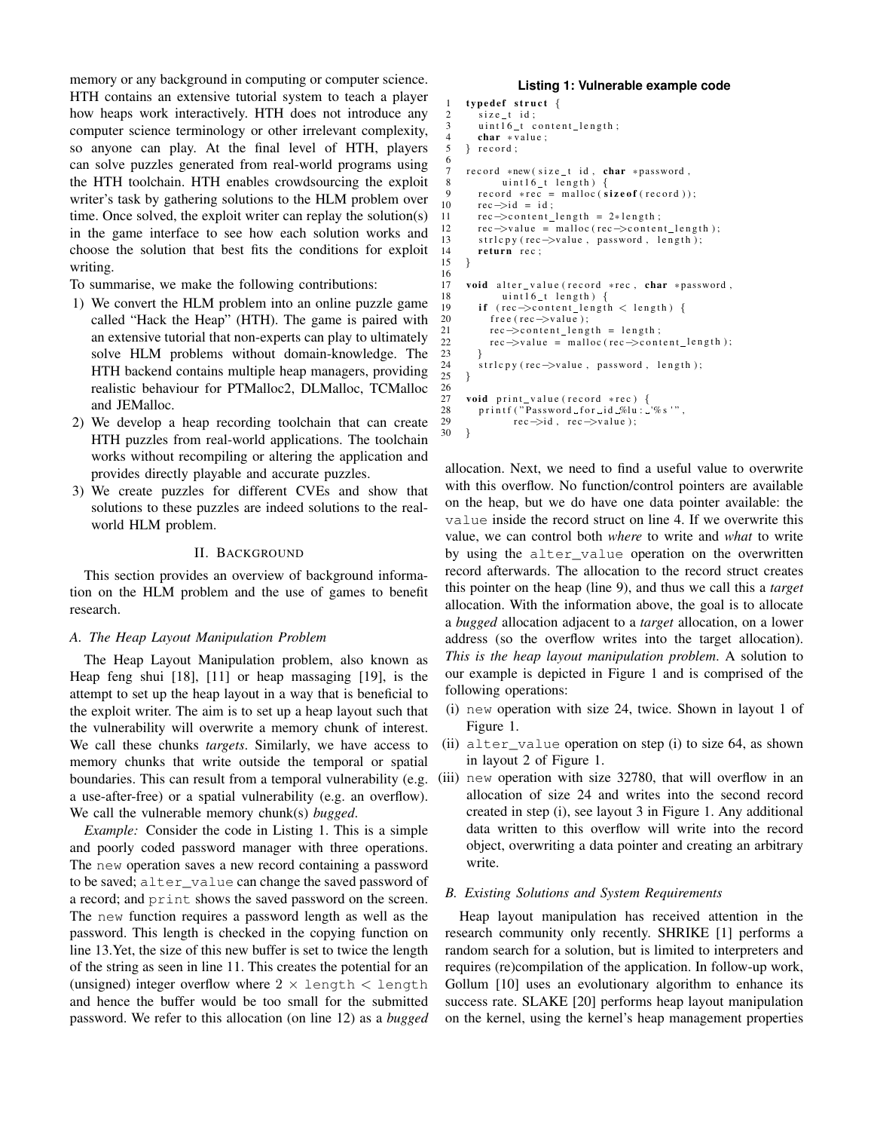memory or any background in computing or computer science. HTH contains an extensive tutorial system to teach a player how heaps work interactively. HTH does not introduce any computer science terminology or other irrelevant complexity, so anyone can play. At the final level of HTH, players can solve puzzles generated from real-world programs using the HTH toolchain. HTH enables crowdsourcing the exploit writer's task by gathering solutions to the HLM problem over time. Once solved, the exploit writer can replay the solution(s) in the game interface to see how each solution works and choose the solution that best fits the conditions for exploit writing.

To summarise, we make the following contributions:

- 1) We convert the HLM problem into an online puzzle game called "Hack the Heap" (HTH). The game is paired with an extensive tutorial that non-experts can play to ultimately solve HLM problems without domain-knowledge. The HTH backend contains multiple heap managers, providing realistic behaviour for PTMalloc2, DLMalloc, TCMalloc and JEMalloc.
- 2) We develop a heap recording toolchain that can create HTH puzzles from real-world applications. The toolchain works without recompiling or altering the application and provides directly playable and accurate puzzles.
- 3) We create puzzles for different CVEs and show that solutions to these puzzles are indeed solutions to the realworld HLM problem.

#### II. BACKGROUND

This section provides an overview of background information on the HLM problem and the use of games to benefit research.

#### *A. The Heap Layout Manipulation Problem*

The Heap Layout Manipulation problem, also known as Heap feng shui [18], [11] or heap massaging [19], is the attempt to set up the heap layout in a way that is beneficial to the exploit writer. The aim is to set up a heap layout such that the vulnerability will overwrite a memory chunk of interest. We call these chunks *targets*. Similarly, we have access to memory chunks that write outside the temporal or spatial boundaries. This can result from a temporal vulnerability (e.g. a use-after-free) or a spatial vulnerability (e.g. an overflow). We call the vulnerable memory chunk(s) *bugged*.

*Example:* Consider the code in Listing 1. This is a simple and poorly coded password manager with three operations. The new operation saves a new record containing a password to be saved; alter\_value can change the saved password of a record; and print shows the saved password on the screen. The new function requires a password length as well as the password. This length is checked in the copying function on line 13.Yet, the size of this new buffer is set to twice the length of the string as seen in line 11. This creates the potential for an (unsigned) integer overflow where  $2 \times$  length  $\lt$  length and hence the buffer would be too small for the submitted password. We refer to this allocation (on line 12) as a *bugged*

#### **Listing 1: Vulnerable example code**

```
1 typedef struct {
 2 size_t id;
 3 uint16_t content_length;
 4 char * value;<br>5 \frac{1}{2} record:
      } record;
 7 record *new (size_t id, char *password,<br>8 uint16 t length) {
                  uint16_t length) \cdot9 record *rec = malloc(\text{size of (record)});<br>10 rec\rightarrowid = id:
10 \text{rec} \rightarrow \text{id} = \text{id};<br>11 \text{rec} \rightarrow \text{content}11 rec ->content_length = 2*length;<br>12 rec ->value = malloc (rec ->conter
           rec \rightarrow value = malloc (rec \rightarrow content_length);13 strl c p (rec \rightarrowvalue, password, length);<br>14 return rec :
           return rec ;
15 }
17 void alter_value (record *rec, char *password, \frac{18}{18} uint16 t length) \frac{1}{18}18 \text{uint16}_t \text{ length} {<br>19 \text{if} \text{ (rec} \rightarrow \text{content length})if (rec ->content_length < length) {
20 free (rec->value);<br>21 rec->content_leng
21 rec\rightarrowcontent_length = length;<br>22 rec\rightarrowvalue = malloc(rec\rightarrowcont
               rec \rightarrow value = malloc (rec \rightarrow content\_length);24 strl c p y ( rec ->value, password, length );<br>25 \, 1
       \mathcal{E}27 void print_value (record *rec) {<br>28 printf ("Password_for_id_%lu:...
28 printf ("Password for id \mathcal{N}lu : \mathcal{N}s '",<br>29 rec\Rightarrowid, rec\Rightarrowvalue):
      rec \rightarrow id, rec \rightarrow value );
```
6

16

23 }

 $rac{26}{27}$ 

30 }

allocation. Next, we need to find a useful value to overwrite with this overflow. No function/control pointers are available on the heap, but we do have one data pointer available: the value inside the record struct on line 4. If we overwrite this value, we can control both *where* to write and *what* to write by using the alter value operation on the overwritten record afterwards. The allocation to the record struct creates this pointer on the heap (line 9), and thus we call this a *target* allocation. With the information above, the goal is to allocate a *bugged* allocation adjacent to a *target* allocation, on a lower address (so the overflow writes into the target allocation). *This is the heap layout manipulation problem*. A solution to our example is depicted in Figure 1 and is comprised of the following operations:

- (i) new operation with size 24, twice. Shown in layout 1 of Figure 1.
- (ii) alter\_value operation on step (i) to size 64, as shown in layout 2 of Figure 1.
- (iii) new operation with size 32780, that will overflow in an allocation of size 24 and writes into the second record created in step (i), see layout 3 in Figure 1. Any additional data written to this overflow will write into the record object, overwriting a data pointer and creating an arbitrary write.

## *B. Existing Solutions and System Requirements*

Heap layout manipulation has received attention in the research community only recently. SHRIKE [1] performs a random search for a solution, but is limited to interpreters and requires (re)compilation of the application. In follow-up work, Gollum [10] uses an evolutionary algorithm to enhance its success rate. SLAKE [20] performs heap layout manipulation on the kernel, using the kernel's heap management properties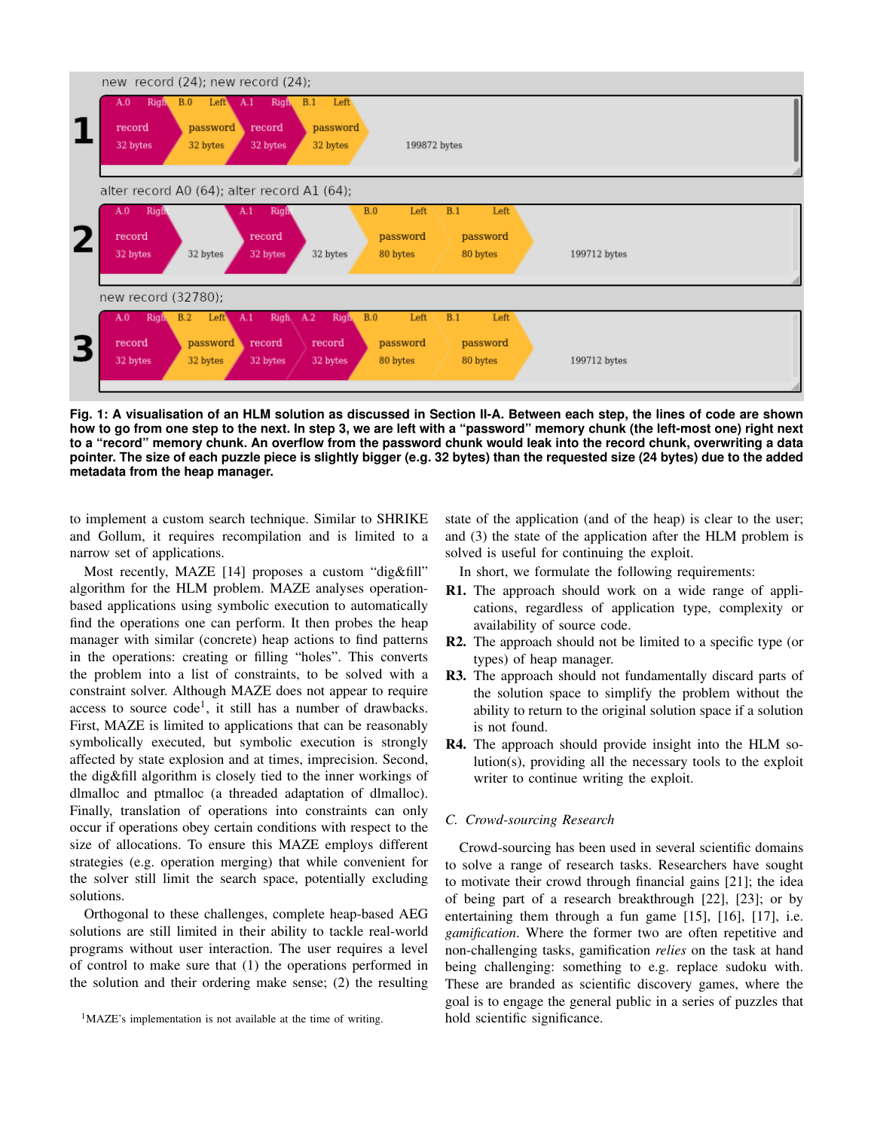

**Fig. 1: A visualisation of an HLM solution as discussed in Section II-A. Between each step, the lines of code are shown how to go from one step to the next. In step 3, we are left with a "password" memory chunk (the left-most one) right next to a "record" memory chunk. An overflow from the password chunk would leak into the record chunk, overwriting a data pointer. The size of each puzzle piece is slightly bigger (e.g. 32 bytes) than the requested size (24 bytes) due to the added metadata from the heap manager.**

to implement a custom search technique. Similar to SHRIKE and Gollum, it requires recompilation and is limited to a narrow set of applications.

Most recently, MAZE [14] proposes a custom "dig&fill" algorithm for the HLM problem. MAZE analyses operationbased applications using symbolic execution to automatically find the operations one can perform. It then probes the heap manager with similar (concrete) heap actions to find patterns in the operations: creating or filling "holes". This converts the problem into a list of constraints, to be solved with a constraint solver. Although MAZE does not appear to require access to source  $code<sup>1</sup>$ , it still has a number of drawbacks. First, MAZE is limited to applications that can be reasonably symbolically executed, but symbolic execution is strongly affected by state explosion and at times, imprecision. Second, the dig&fill algorithm is closely tied to the inner workings of dlmalloc and ptmalloc (a threaded adaptation of dlmalloc). Finally, translation of operations into constraints can only occur if operations obey certain conditions with respect to the size of allocations. To ensure this MAZE employs different strategies (e.g. operation merging) that while convenient for the solver still limit the search space, potentially excluding solutions.

Orthogonal to these challenges, complete heap-based AEG solutions are still limited in their ability to tackle real-world programs without user interaction. The user requires a level of control to make sure that (1) the operations performed in the solution and their ordering make sense; (2) the resulting

<sup>1</sup>MAZE's implementation is not available at the time of writing.

state of the application (and of the heap) is clear to the user; and (3) the state of the application after the HLM problem is solved is useful for continuing the exploit.

In short, we formulate the following requirements:

- R1. The approach should work on a wide range of applications, regardless of application type, complexity or availability of source code.
- R2. The approach should not be limited to a specific type (or types) of heap manager.
- R3. The approach should not fundamentally discard parts of the solution space to simplify the problem without the ability to return to the original solution space if a solution is not found.
- R4. The approach should provide insight into the HLM solution(s), providing all the necessary tools to the exploit writer to continue writing the exploit.

#### *C. Crowd-sourcing Research*

Crowd-sourcing has been used in several scientific domains to solve a range of research tasks. Researchers have sought to motivate their crowd through financial gains [21]; the idea of being part of a research breakthrough [22], [23]; or by entertaining them through a fun game [15], [16], [17], i.e. *gamification*. Where the former two are often repetitive and non-challenging tasks, gamification *relies* on the task at hand being challenging: something to e.g. replace sudoku with. These are branded as scientific discovery games, where the goal is to engage the general public in a series of puzzles that hold scientific significance.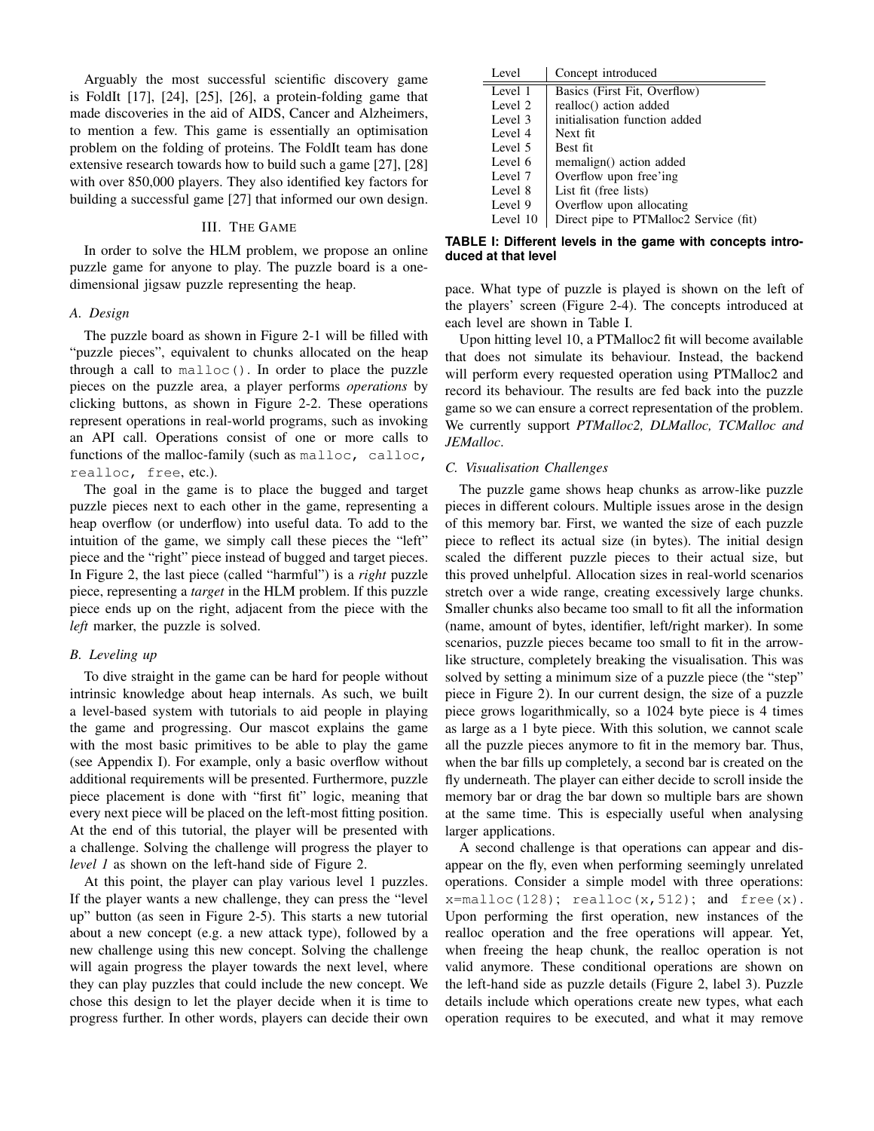Arguably the most successful scientific discovery game is FoldIt [17], [24], [25], [26], a protein-folding game that made discoveries in the aid of AIDS, Cancer and Alzheimers, to mention a few. This game is essentially an optimisation problem on the folding of proteins. The FoldIt team has done extensive research towards how to build such a game [27], [28] with over 850,000 players. They also identified key factors for building a successful game [27] that informed our own design.

# III. THE GAME

In order to solve the HLM problem, we propose an online puzzle game for anyone to play. The puzzle board is a onedimensional jigsaw puzzle representing the heap.

### *A. Design*

The puzzle board as shown in Figure 2-1 will be filled with "puzzle pieces", equivalent to chunks allocated on the heap through a call to malloc(). In order to place the puzzle pieces on the puzzle area, a player performs *operations* by clicking buttons, as shown in Figure 2-2. These operations represent operations in real-world programs, such as invoking an API call. Operations consist of one or more calls to functions of the malloc-family (such as malloc, calloc, realloc, free, etc.).

The goal in the game is to place the bugged and target puzzle pieces next to each other in the game, representing a heap overflow (or underflow) into useful data. To add to the intuition of the game, we simply call these pieces the "left" piece and the "right" piece instead of bugged and target pieces. In Figure 2, the last piece (called "harmful") is a *right* puzzle piece, representing a *target* in the HLM problem. If this puzzle piece ends up on the right, adjacent from the piece with the *left* marker, the puzzle is solved.

#### *B. Leveling up*

To dive straight in the game can be hard for people without intrinsic knowledge about heap internals. As such, we built a level-based system with tutorials to aid people in playing the game and progressing. Our mascot explains the game with the most basic primitives to be able to play the game (see Appendix I). For example, only a basic overflow without additional requirements will be presented. Furthermore, puzzle piece placement is done with "first fit" logic, meaning that every next piece will be placed on the left-most fitting position. At the end of this tutorial, the player will be presented with a challenge. Solving the challenge will progress the player to *level 1* as shown on the left-hand side of Figure 2.

At this point, the player can play various level 1 puzzles. If the player wants a new challenge, they can press the "level up" button (as seen in Figure 2-5). This starts a new tutorial about a new concept (e.g. a new attack type), followed by a new challenge using this new concept. Solving the challenge will again progress the player towards the next level, where they can play puzzles that could include the new concept. We chose this design to let the player decide when it is time to progress further. In other words, players can decide their own

| Level    | Concept introduced                     |  |  |  |  |
|----------|----------------------------------------|--|--|--|--|
| Level 1  | Basics (First Fit, Overflow)           |  |  |  |  |
| Level 2  | realloc() action added                 |  |  |  |  |
| Level 3  | initialisation function added          |  |  |  |  |
| Level 4  | Next fit.                              |  |  |  |  |
| Level 5  | Best fit                               |  |  |  |  |
| Level 6  | memalign() action added                |  |  |  |  |
| Level 7  | Overflow upon free'ing                 |  |  |  |  |
| Level 8  | List fit (free lists)                  |  |  |  |  |
| Level 9  | Overflow upon allocating               |  |  |  |  |
| Level 10 | Direct pipe to PTMalloc2 Service (fit) |  |  |  |  |

## **TABLE I: Different levels in the game with concepts introduced at that level**

pace. What type of puzzle is played is shown on the left of the players' screen (Figure 2-4). The concepts introduced at each level are shown in Table I.

Upon hitting level 10, a PTMalloc2 fit will become available that does not simulate its behaviour. Instead, the backend will perform every requested operation using PTMalloc2 and record its behaviour. The results are fed back into the puzzle game so we can ensure a correct representation of the problem. We currently support *PTMalloc2, DLMalloc, TCMalloc and JEMalloc*.

## *C. Visualisation Challenges*

The puzzle game shows heap chunks as arrow-like puzzle pieces in different colours. Multiple issues arose in the design of this memory bar. First, we wanted the size of each puzzle piece to reflect its actual size (in bytes). The initial design scaled the different puzzle pieces to their actual size, but this proved unhelpful. Allocation sizes in real-world scenarios stretch over a wide range, creating excessively large chunks. Smaller chunks also became too small to fit all the information (name, amount of bytes, identifier, left/right marker). In some scenarios, puzzle pieces became too small to fit in the arrowlike structure, completely breaking the visualisation. This was solved by setting a minimum size of a puzzle piece (the "step" piece in Figure 2). In our current design, the size of a puzzle piece grows logarithmically, so a 1024 byte piece is 4 times as large as a 1 byte piece. With this solution, we cannot scale all the puzzle pieces anymore to fit in the memory bar. Thus, when the bar fills up completely, a second bar is created on the fly underneath. The player can either decide to scroll inside the memory bar or drag the bar down so multiple bars are shown at the same time. This is especially useful when analysing larger applications.

A second challenge is that operations can appear and disappear on the fly, even when performing seemingly unrelated operations. Consider a simple model with three operations:  $x = \text{malloc}(128); \text{realloc}(x, 512); \text{ and free}(x).$ Upon performing the first operation, new instances of the realloc operation and the free operations will appear. Yet, when freeing the heap chunk, the realloc operation is not valid anymore. These conditional operations are shown on the left-hand side as puzzle details (Figure 2, label 3). Puzzle details include which operations create new types, what each operation requires to be executed, and what it may remove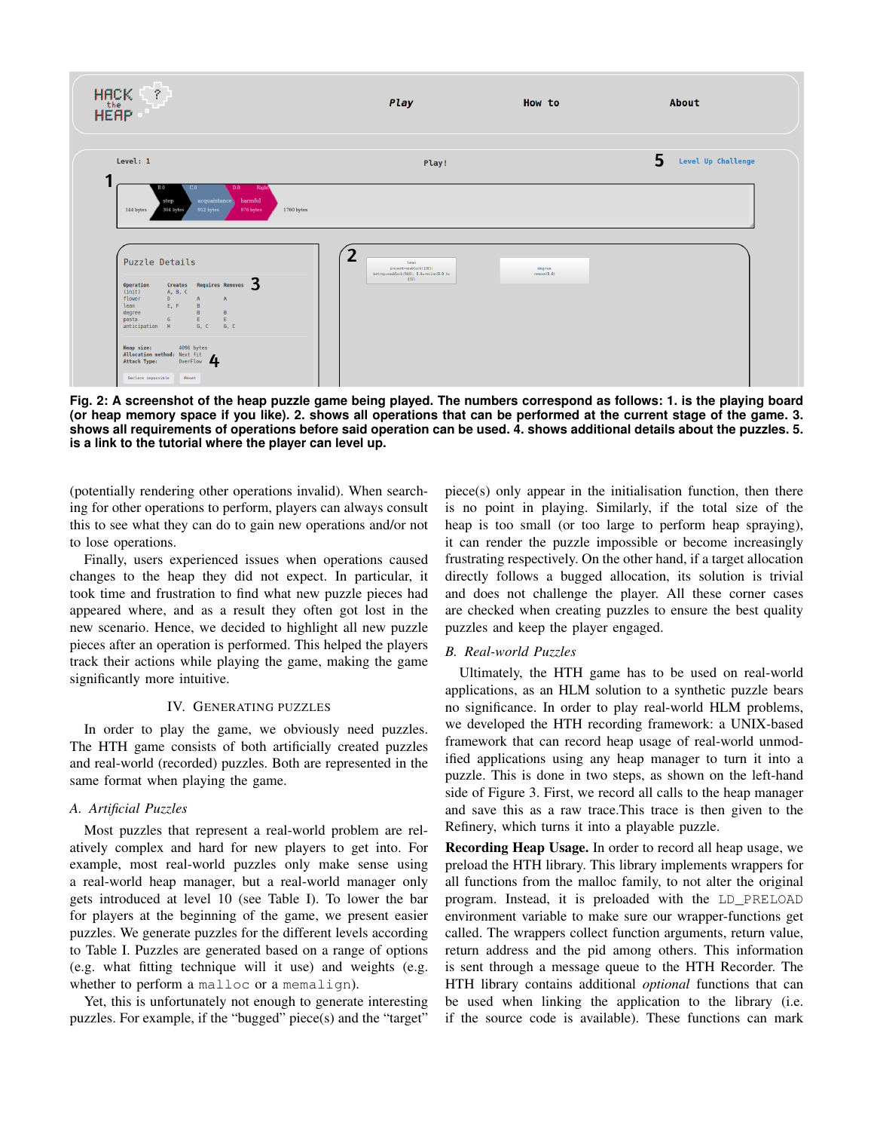

**Fig. 2: A screenshot of the heap puzzle game being played. The numbers correspond as follows: 1. is the playing board (or heap memory space if you like). 2. shows all operations that can be performed at the current stage of the game. 3. shows all requirements of operations before said operation can be used. 4. shows additional details about the puzzles. 5. is a link to the tutorial where the player can level up.**

(potentially rendering other operations invalid). When searching for other operations to perform, players can always consult this to see what they can do to gain new operations and/or not to lose operations.

Finally, users experienced issues when operations caused changes to the heap they did not expect. In particular, it took time and frustration to find what new puzzle pieces had appeared where, and as a result they often got lost in the new scenario. Hence, we decided to highlight all new puzzle pieces after an operation is performed. This helped the players track their actions while playing the game, making the game significantly more intuitive.

# IV. GENERATING PUZZLES

In order to play the game, we obviously need puzzles. The HTH game consists of both artificially created puzzles and real-world (recorded) puzzles. Both are represented in the same format when playing the game.

# *A. Artificial Puzzles*

Most puzzles that represent a real-world problem are relatively complex and hard for new players to get into. For example, most real-world puzzles only make sense using a real-world heap manager, but a real-world manager only gets introduced at level 10 (see Table I). To lower the bar for players at the beginning of the game, we present easier puzzles. We generate puzzles for the different levels according to Table I. Puzzles are generated based on a range of options (e.g. what fitting technique will it use) and weights (e.g. whether to perform a malloc or a memalign).

Yet, this is unfortunately not enough to generate interesting puzzles. For example, if the "bugged" piece(s) and the "target"

piece(s) only appear in the initialisation function, then there is no point in playing. Similarly, if the total size of the heap is too small (or too large to perform heap spraying), it can render the puzzle impossible or become increasingly frustrating respectively. On the other hand, if a target allocation directly follows a bugged allocation, its solution is trivial and does not challenge the player. All these corner cases are checked when creating puzzles to ensure the best quality puzzles and keep the player engaged.

## *B. Real-world Puzzles*

Ultimately, the HTH game has to be used on real-world applications, as an HLM solution to a synthetic puzzle bears no significance. In order to play real-world HLM problems, we developed the HTH recording framework: a UNIX-based framework that can record heap usage of real-world unmodified applications using any heap manager to turn it into a puzzle. This is done in two steps, as shown on the left-hand side of Figure 3. First, we record all calls to the heap manager and save this as a raw trace.This trace is then given to the Refinery, which turns it into a playable puzzle.

Recording Heap Usage. In order to record all heap usage, we preload the HTH library. This library implements wrappers for all functions from the malloc family, to not alter the original program. Instead, it is preloaded with the LD\_PRELOAD environment variable to make sure our wrapper-functions get called. The wrappers collect function arguments, return value, return address and the pid among others. This information is sent through a message queue to the HTH Recorder. The HTH library contains additional *optional* functions that can be used when linking the application to the library (i.e. if the source code is available). These functions can mark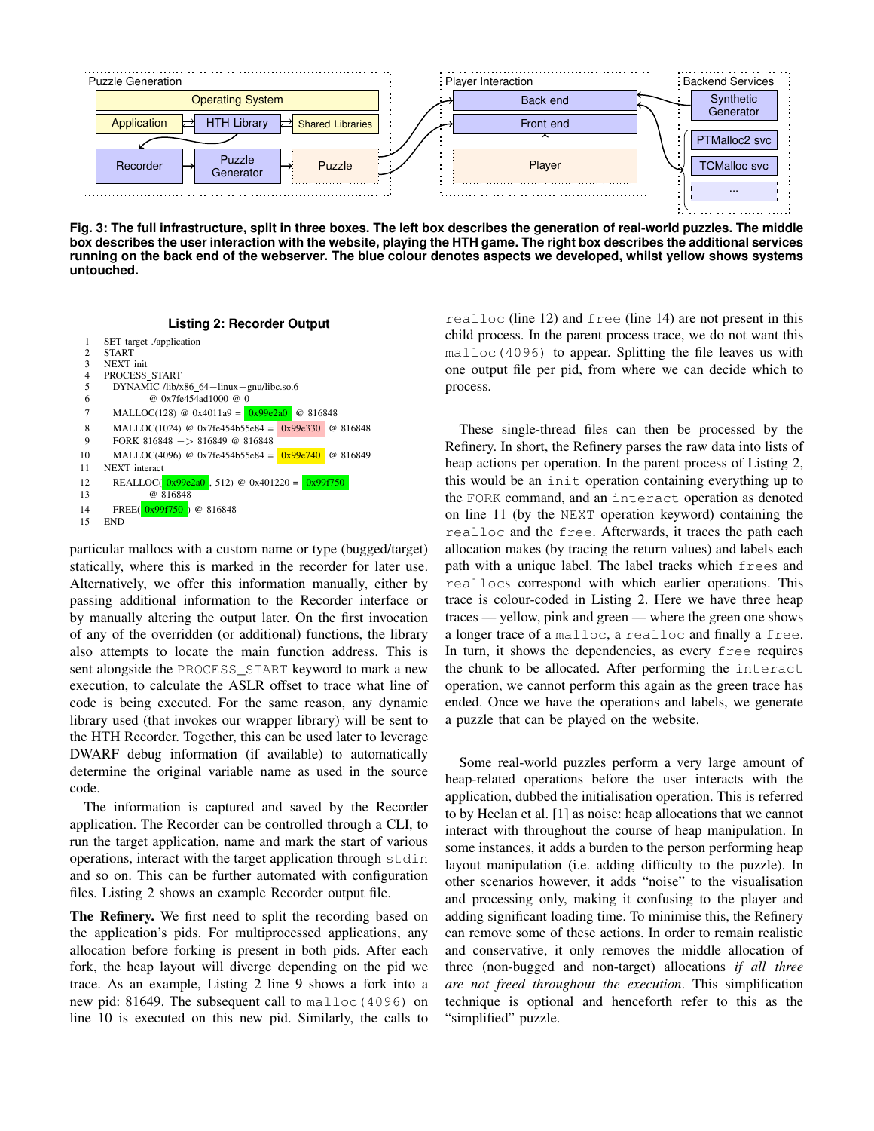

**Fig. 3: The full infrastructure, split in three boxes. The left box describes the generation of real-world puzzles. The middle box describes the user interaction with the website, playing the HTH game. The right box describes the additional services running on the back end of the webserver. The blue colour denotes aspects we developed, whilst yellow shows systems untouched.**





particular mallocs with a custom name or type (bugged/target) statically, where this is marked in the recorder for later use. Alternatively, we offer this information manually, either by passing additional information to the Recorder interface or by manually altering the output later. On the first invocation of any of the overridden (or additional) functions, the library also attempts to locate the main function address. This is sent alongside the PROCESS\_START keyword to mark a new execution, to calculate the ASLR offset to trace what line of code is being executed. For the same reason, any dynamic library used (that invokes our wrapper library) will be sent to the HTH Recorder. Together, this can be used later to leverage DWARF debug information (if available) to automatically determine the original variable name as used in the source code.

The information is captured and saved by the Recorder application. The Recorder can be controlled through a CLI, to run the target application, name and mark the start of various operations, interact with the target application through stdin and so on. This can be further automated with configuration files. Listing 2 shows an example Recorder output file.

The Refinery. We first need to split the recording based on the application's pids. For multiprocessed applications, any allocation before forking is present in both pids. After each fork, the heap layout will diverge depending on the pid we trace. As an example, Listing 2 line 9 shows a fork into a new pid: 81649. The subsequent call to malloc(4096) on line 10 is executed on this new pid. Similarly, the calls to

realloc (line 12) and free (line 14) are not present in this child process. In the parent process trace, we do not want this malloc(4096) to appear. Splitting the file leaves us with one output file per pid, from where we can decide which to process.

These single-thread files can then be processed by the Refinery. In short, the Refinery parses the raw data into lists of heap actions per operation. In the parent process of Listing 2, this would be an init operation containing everything up to the FORK command, and an interact operation as denoted on line 11 (by the NEXT operation keyword) containing the realloc and the free. Afterwards, it traces the path each allocation makes (by tracing the return values) and labels each path with a unique label. The label tracks which frees and reallocs correspond with which earlier operations. This trace is colour-coded in Listing 2. Here we have three heap traces — yellow, pink and green — where the green one shows a longer trace of a malloc, a realloc and finally a free. In turn, it shows the dependencies, as every free requires the chunk to be allocated. After performing the interact operation, we cannot perform this again as the green trace has ended. Once we have the operations and labels, we generate a puzzle that can be played on the website.

Some real-world puzzles perform a very large amount of heap-related operations before the user interacts with the application, dubbed the initialisation operation. This is referred to by Heelan et al. [1] as noise: heap allocations that we cannot interact with throughout the course of heap manipulation. In some instances, it adds a burden to the person performing heap layout manipulation (i.e. adding difficulty to the puzzle). In other scenarios however, it adds "noise" to the visualisation and processing only, making it confusing to the player and adding significant loading time. To minimise this, the Refinery can remove some of these actions. In order to remain realistic and conservative, it only removes the middle allocation of three (non-bugged and non-target) allocations *if all three are not freed throughout the execution*. This simplification technique is optional and henceforth refer to this as the "simplified" puzzle.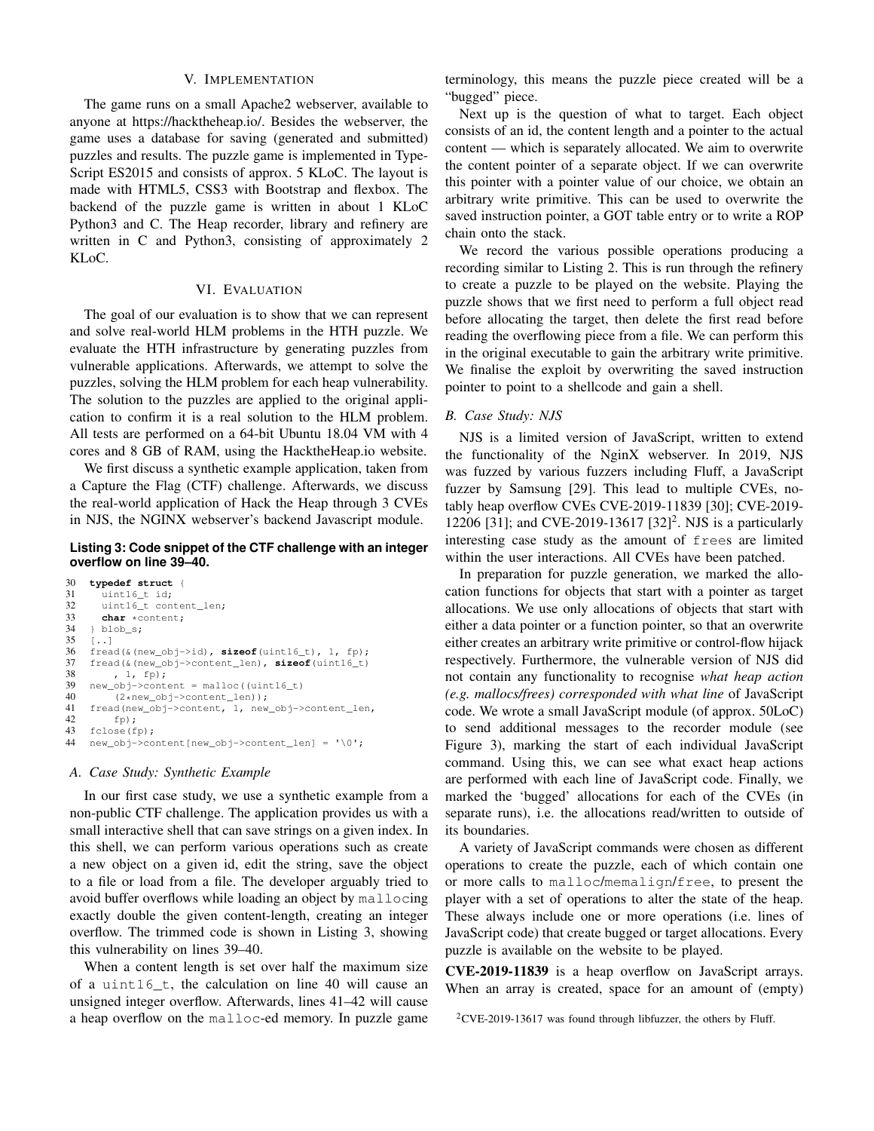## V. IMPLEMENTATION

The game runs on a small Apache2 webserver, available to anyone at https://hacktheheap.io/. Besides the webserver, the game uses a database for saving (generated and submitted) puzzles and results. The puzzle game is implemented in Type-Script ES2015 and consists of approx. 5 KLoC. The layout is made with HTML5, CSS3 with Bootstrap and flexbox. The backend of the puzzle game is written in about 1 KLoC Python3 and C. The Heap recorder, library and refinery are written in C and Python3, consisting of approximately 2 KLoC.

## VI. EVALUATION

The goal of our evaluation is to show that we can represent and solve real-world HLM problems in the HTH puzzle. We evaluate the HTH infrastructure by generating puzzles from vulnerable applications. Afterwards, we attempt to solve the puzzles, solving the HLM problem for each heap vulnerability. The solution to the puzzles are applied to the original application to confirm it is a real solution to the HLM problem. All tests are performed on a 64-bit Ubuntu 18.04 VM with 4 cores and 8 GB of RAM, using the HacktheHeap.io website.

We first discuss a synthetic example application, taken from a Capture the Flag (CTF) challenge. Afterwards, we discuss the real-world application of Hack the Heap through 3 CVEs in NJS, the NGINX webserver's backend Javascript module.

#### **Listing 3: Code snippet of the CTF challenge with an integer overflow on line 39–40.**

```
30 typedef struct {
          uint16_t id;
32 uint16_t content_len;<br>33 char *content:
33 char *content;<br>34 } blob s:
34 } blob_s;<br>35 [..]
35 [..]
36 fread(&(new_obj->id), sizeof(uint16_t), 1, fp);
37 {\rm freq}(\&{\rm (new\_obj->content\_len)} , {\rm sizeof}({\rm unit16\_t})<br>38 , 1, fp);
38 , 1, fp);<br>39 new obj->cont
39 new_obj->content = malloc((uint16_t)<br>40 (2*new obj->content len));
40 (2*new_obj->content_len));<br>41 fread(new_obj->content. 1. new
41 {\text{fread}}(\text{new\_obj} \rightarrow \text{content}, 1, \text{new\_obj} \rightarrow \text{content\_len},<br>42 {\text{fp}}):
42 fp);<br>43 fclose(f
      fclose(fp);
44 new_obj->content[new_obj->content_len] = '\0';
```
#### *A. Case Study: Synthetic Example*

In our first case study, we use a synthetic example from a non-public CTF challenge. The application provides us with a small interactive shell that can save strings on a given index. In this shell, we can perform various operations such as create a new object on a given id, edit the string, save the object to a file or load from a file. The developer arguably tried to avoid buffer overflows while loading an object by mallocing exactly double the given content-length, creating an integer overflow. The trimmed code is shown in Listing 3, showing this vulnerability on lines 39–40.

When a content length is set over half the maximum size of a uint16 t, the calculation on line 40 will cause an unsigned integer overflow. Afterwards, lines 41–42 will cause a heap overflow on the malloc-ed memory. In puzzle game terminology, this means the puzzle piece created will be a "bugged" piece.

Next up is the question of what to target. Each object consists of an id, the content length and a pointer to the actual content — which is separately allocated. We aim to overwrite the content pointer of a separate object. If we can overwrite this pointer with a pointer value of our choice, we obtain an arbitrary write primitive. This can be used to overwrite the saved instruction pointer, a GOT table entry or to write a ROP chain onto the stack.

We record the various possible operations producing a recording similar to Listing 2. This is run through the refinery to create a puzzle to be played on the website. Playing the puzzle shows that we first need to perform a full object read before allocating the target, then delete the first read before reading the overflowing piece from a file. We can perform this in the original executable to gain the arbitrary write primitive. We finalise the exploit by overwriting the saved instruction pointer to point to a shellcode and gain a shell.

## *B. Case Study: NJS*

NJS is a limited version of JavaScript, written to extend the functionality of the NginX webserver. In 2019, NJS was fuzzed by various fuzzers including Fluff, a JavaScript fuzzer by Samsung [29]. This lead to multiple CVEs, notably heap overflow CVEs CVE-2019-11839 [30]; CVE-2019- 12206 [31]; and CVE-2019-13617 [32]<sup>2</sup>. NJS is a particularly interesting case study as the amount of frees are limited within the user interactions. All CVEs have been patched.

In preparation for puzzle generation, we marked the allocation functions for objects that start with a pointer as target allocations. We use only allocations of objects that start with either a data pointer or a function pointer, so that an overwrite either creates an arbitrary write primitive or control-flow hijack respectively. Furthermore, the vulnerable version of NJS did not contain any functionality to recognise *what heap action (e.g. mallocs/frees) corresponded with what line* of JavaScript code. We wrote a small JavaScript module (of approx. 50LoC) to send additional messages to the recorder module (see Figure 3), marking the start of each individual JavaScript command. Using this, we can see what exact heap actions are performed with each line of JavaScript code. Finally, we marked the 'bugged' allocations for each of the CVEs (in separate runs), i.e. the allocations read/written to outside of its boundaries.

A variety of JavaScript commands were chosen as different operations to create the puzzle, each of which contain one or more calls to malloc/memalign/free, to present the player with a set of operations to alter the state of the heap. These always include one or more operations (i.e. lines of JavaScript code) that create bugged or target allocations. Every puzzle is available on the website to be played.

CVE-2019-11839 is a heap overflow on JavaScript arrays. When an array is created, space for an amount of (empty)

 $2$ CVE-2019-13617 was found through libfuzzer, the others by Fluff.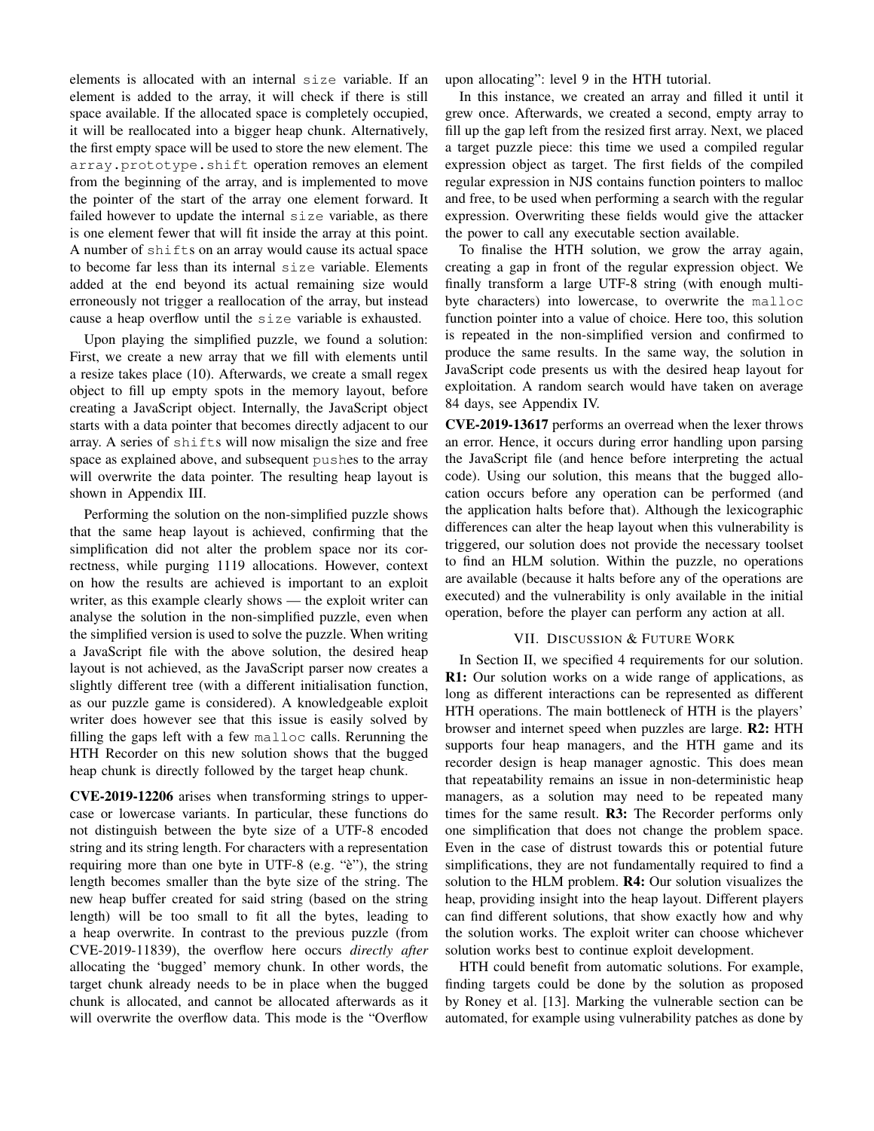elements is allocated with an internal size variable. If an element is added to the array, it will check if there is still space available. If the allocated space is completely occupied, it will be reallocated into a bigger heap chunk. Alternatively, the first empty space will be used to store the new element. The array.prototype.shift operation removes an element from the beginning of the array, and is implemented to move the pointer of the start of the array one element forward. It failed however to update the internal size variable, as there is one element fewer that will fit inside the array at this point. A number of shifts on an array would cause its actual space to become far less than its internal size variable. Elements added at the end beyond its actual remaining size would erroneously not trigger a reallocation of the array, but instead cause a heap overflow until the size variable is exhausted.

Upon playing the simplified puzzle, we found a solution: First, we create a new array that we fill with elements until a resize takes place (10). Afterwards, we create a small regex object to fill up empty spots in the memory layout, before creating a JavaScript object. Internally, the JavaScript object starts with a data pointer that becomes directly adjacent to our array. A series of shifts will now misalign the size and free space as explained above, and subsequent pushes to the array will overwrite the data pointer. The resulting heap layout is shown in Appendix III.

Performing the solution on the non-simplified puzzle shows that the same heap layout is achieved, confirming that the simplification did not alter the problem space nor its correctness, while purging 1119 allocations. However, context on how the results are achieved is important to an exploit writer, as this example clearly shows — the exploit writer can analyse the solution in the non-simplified puzzle, even when the simplified version is used to solve the puzzle. When writing a JavaScript file with the above solution, the desired heap layout is not achieved, as the JavaScript parser now creates a slightly different tree (with a different initialisation function, as our puzzle game is considered). A knowledgeable exploit writer does however see that this issue is easily solved by filling the gaps left with a few malloc calls. Rerunning the HTH Recorder on this new solution shows that the bugged heap chunk is directly followed by the target heap chunk.

CVE-2019-12206 arises when transforming strings to uppercase or lowercase variants. In particular, these functions do not distinguish between the byte size of a UTF-8 encoded string and its string length. For characters with a representation requiring more than one byte in UTF-8 (e.g. "è"), the string length becomes smaller than the byte size of the string. The new heap buffer created for said string (based on the string length) will be too small to fit all the bytes, leading to a heap overwrite. In contrast to the previous puzzle (from CVE-2019-11839), the overflow here occurs *directly after* allocating the 'bugged' memory chunk. In other words, the target chunk already needs to be in place when the bugged chunk is allocated, and cannot be allocated afterwards as it will overwrite the overflow data. This mode is the "Overflow

upon allocating": level 9 in the HTH tutorial.

In this instance, we created an array and filled it until it grew once. Afterwards, we created a second, empty array to fill up the gap left from the resized first array. Next, we placed a target puzzle piece: this time we used a compiled regular expression object as target. The first fields of the compiled regular expression in NJS contains function pointers to malloc and free, to be used when performing a search with the regular expression. Overwriting these fields would give the attacker the power to call any executable section available.

To finalise the HTH solution, we grow the array again, creating a gap in front of the regular expression object. We finally transform a large UTF-8 string (with enough multibyte characters) into lowercase, to overwrite the malloc function pointer into a value of choice. Here too, this solution is repeated in the non-simplified version and confirmed to produce the same results. In the same way, the solution in JavaScript code presents us with the desired heap layout for exploitation. A random search would have taken on average 84 days, see Appendix IV.

CVE-2019-13617 performs an overread when the lexer throws an error. Hence, it occurs during error handling upon parsing the JavaScript file (and hence before interpreting the actual code). Using our solution, this means that the bugged allocation occurs before any operation can be performed (and the application halts before that). Although the lexicographic differences can alter the heap layout when this vulnerability is triggered, our solution does not provide the necessary toolset to find an HLM solution. Within the puzzle, no operations are available (because it halts before any of the operations are executed) and the vulnerability is only available in the initial operation, before the player can perform any action at all.

## VII. DISCUSSION & FUTURE WORK

In Section II, we specified 4 requirements for our solution. R1: Our solution works on a wide range of applications, as long as different interactions can be represented as different HTH operations. The main bottleneck of HTH is the players' browser and internet speed when puzzles are large. R2: HTH supports four heap managers, and the HTH game and its recorder design is heap manager agnostic. This does mean that repeatability remains an issue in non-deterministic heap managers, as a solution may need to be repeated many times for the same result. R3: The Recorder performs only one simplification that does not change the problem space. Even in the case of distrust towards this or potential future simplifications, they are not fundamentally required to find a solution to the HLM problem. **R4:** Our solution visualizes the heap, providing insight into the heap layout. Different players can find different solutions, that show exactly how and why the solution works. The exploit writer can choose whichever solution works best to continue exploit development.

HTH could benefit from automatic solutions. For example, finding targets could be done by the solution as proposed by Roney et al. [13]. Marking the vulnerable section can be automated, for example using vulnerability patches as done by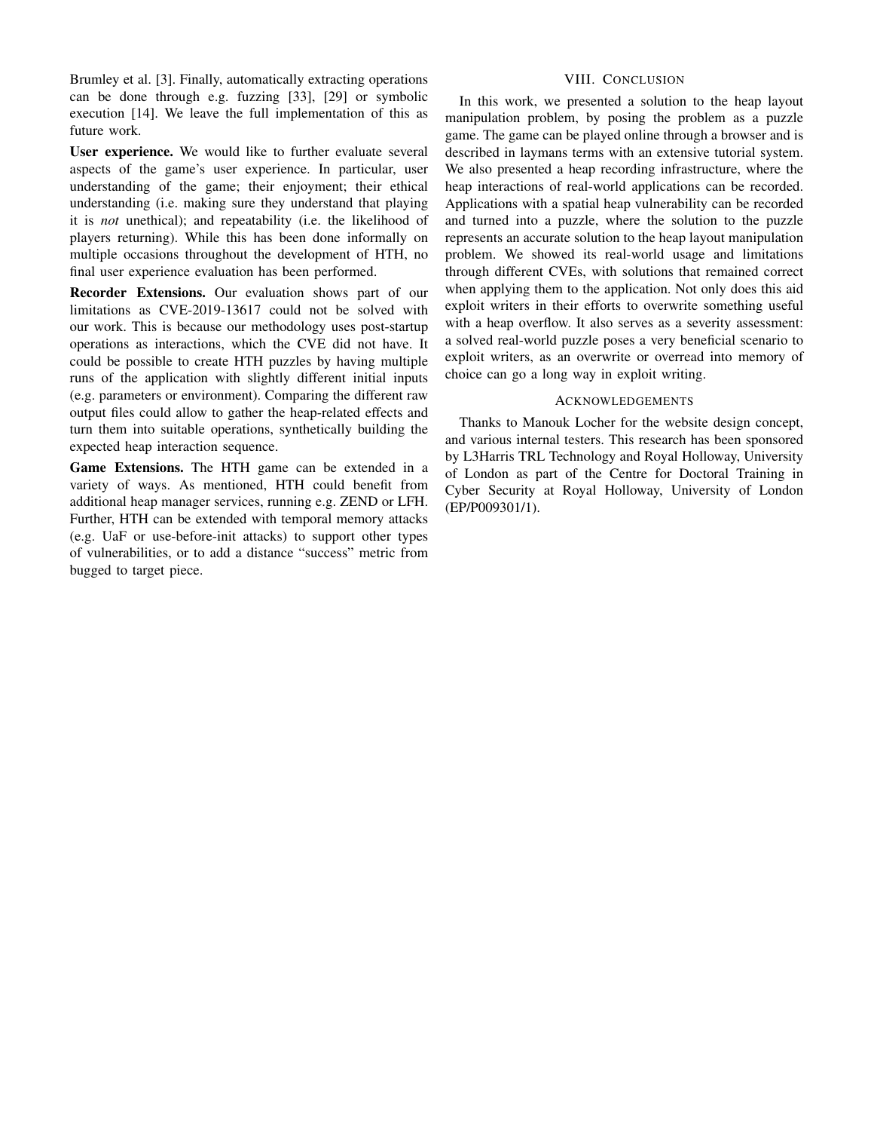Brumley et al. [3]. Finally, automatically extracting operations can be done through e.g. fuzzing [33], [29] or symbolic execution [14]. We leave the full implementation of this as future work.

User experience. We would like to further evaluate several aspects of the game's user experience. In particular, user understanding of the game; their enjoyment; their ethical understanding (i.e. making sure they understand that playing it is *not* unethical); and repeatability (i.e. the likelihood of players returning). While this has been done informally on multiple occasions throughout the development of HTH, no final user experience evaluation has been performed.

Recorder Extensions. Our evaluation shows part of our limitations as CVE-2019-13617 could not be solved with our work. This is because our methodology uses post-startup operations as interactions, which the CVE did not have. It could be possible to create HTH puzzles by having multiple runs of the application with slightly different initial inputs (e.g. parameters or environment). Comparing the different raw output files could allow to gather the heap-related effects and turn them into suitable operations, synthetically building the expected heap interaction sequence.

Game Extensions. The HTH game can be extended in a variety of ways. As mentioned, HTH could benefit from additional heap manager services, running e.g. ZEND or LFH. Further, HTH can be extended with temporal memory attacks (e.g. UaF or use-before-init attacks) to support other types of vulnerabilities, or to add a distance "success" metric from bugged to target piece.

# VIII. CONCLUSION

In this work, we presented a solution to the heap layout manipulation problem, by posing the problem as a puzzle game. The game can be played online through a browser and is described in laymans terms with an extensive tutorial system. We also presented a heap recording infrastructure, where the heap interactions of real-world applications can be recorded. Applications with a spatial heap vulnerability can be recorded and turned into a puzzle, where the solution to the puzzle represents an accurate solution to the heap layout manipulation problem. We showed its real-world usage and limitations through different CVEs, with solutions that remained correct when applying them to the application. Not only does this aid exploit writers in their efforts to overwrite something useful with a heap overflow. It also serves as a severity assessment: a solved real-world puzzle poses a very beneficial scenario to exploit writers, as an overwrite or overread into memory of choice can go a long way in exploit writing.

## ACKNOWLEDGEMENTS

Thanks to Manouk Locher for the website design concept, and various internal testers. This research has been sponsored by L3Harris TRL Technology and Royal Holloway, University of London as part of the Centre for Doctoral Training in Cyber Security at Royal Holloway, University of London (EP/P009301/1).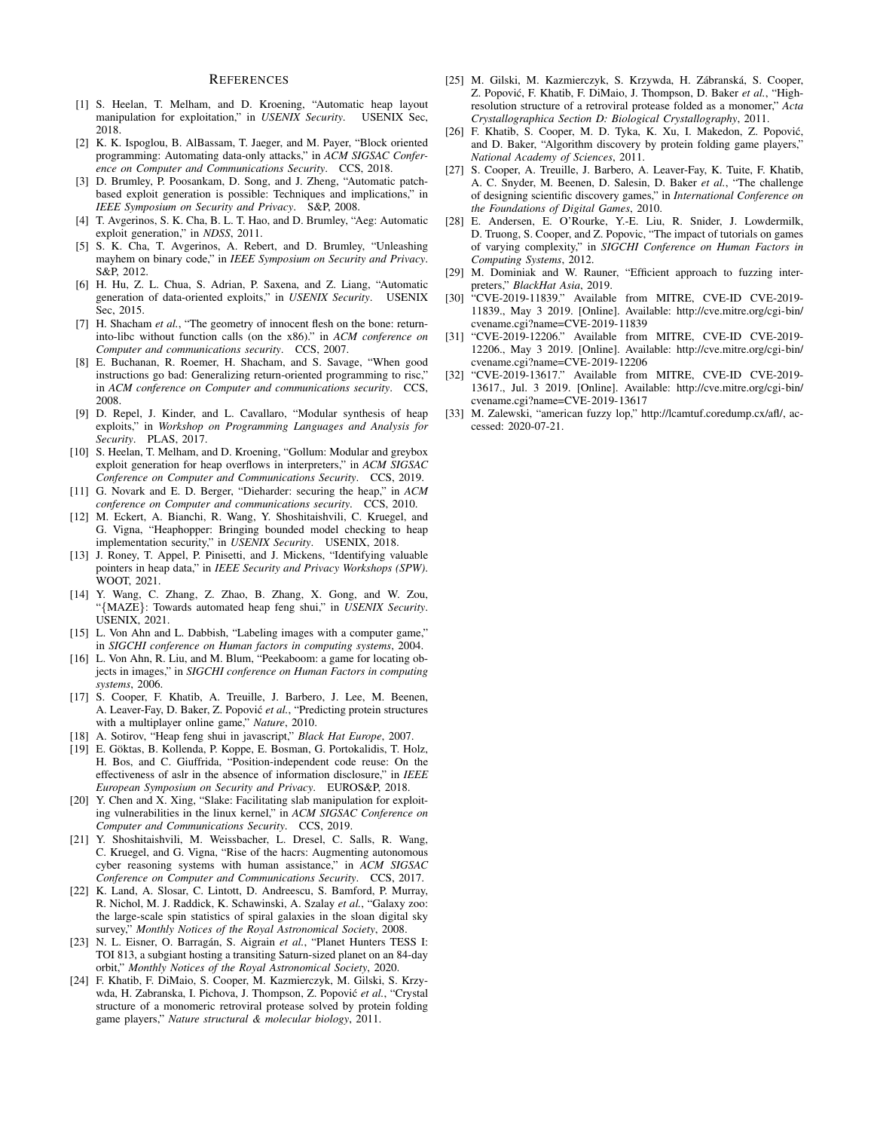#### **REFERENCES**

- [1] S. Heelan, T. Melham, and D. Kroening, "Automatic heap layout manipulation for exploitation," in *USENIX Security*. USENIX Sec, 2018.
- [2] K. K. Ispoglou, B. AlBassam, T. Jaeger, and M. Payer, "Block oriented programming: Automating data-only attacks," in *ACM SIGSAC Conference on Computer and Communications Security*. CCS, 2018.
- [3] D. Brumley, P. Poosankam, D. Song, and J. Zheng, "Automatic patchbased exploit generation is possible: Techniques and implications," in *IEEE Symposium on Security and Privacy*. S&P, 2008.
- [4] T. Avgerinos, S. K. Cha, B. L. T. Hao, and D. Brumley, "Aeg: Automatic exploit generation," in *NDSS*, 2011.
- [5] S. K. Cha, T. Avgerinos, A. Rebert, and D. Brumley, "Unleashing mayhem on binary code," in *IEEE Symposium on Security and Privacy*. S&P, 2012.
- [6] H. Hu, Z. L. Chua, S. Adrian, P. Saxena, and Z. Liang, "Automatic generation of data-oriented exploits," in *USENIX Security*. USENIX Sec, 2015.
- [7] H. Shacham *et al.*, "The geometry of innocent flesh on the bone: returninto-libc without function calls (on the x86)." in *ACM conference on Computer and communications security*. CCS, 2007.
- [8] E. Buchanan, R. Roemer, H. Shacham, and S. Savage, "When good instructions go bad: Generalizing return-oriented programming to risc," in *ACM conference on Computer and communications security*. CCS, 2008.
- [9] D. Repel, J. Kinder, and L. Cavallaro, "Modular synthesis of heap exploits," in *Workshop on Programming Languages and Analysis for Security*. PLAS, 2017.
- [10] S. Heelan, T. Melham, and D. Kroening, "Gollum: Modular and greybox exploit generation for heap overflows in interpreters," in *ACM SIGSAC Conference on Computer and Communications Security*. CCS, 2019.
- [11] G. Novark and E. D. Berger, "Dieharder: securing the heap," in *ACM conference on Computer and communications security*. CCS, 2010.
- [12] M. Eckert, A. Bianchi, R. Wang, Y. Shoshitaishvili, C. Kruegel, and G. Vigna, "Heaphopper: Bringing bounded model checking to heap implementation security," in *USENIX Security*. USENIX, 2018.
- [13] J. Roney, T. Appel, P. Pinisetti, and J. Mickens, "Identifying valuable pointers in heap data," in *IEEE Security and Privacy Workshops (SPW)*. WOOT, 2021.
- [14] Y. Wang, C. Zhang, Z. Zhao, B. Zhang, X. Gong, and W. Zou, "{MAZE}: Towards automated heap feng shui," in *USENIX Security*. USENIX, 2021.
- [15] L. Von Ahn and L. Dabbish, "Labeling images with a computer game," in *SIGCHI conference on Human factors in computing systems*, 2004.
- [16] L. Von Ahn, R. Liu, and M. Blum, "Peekaboom: a game for locating objects in images," in *SIGCHI conference on Human Factors in computing systems*, 2006.
- [17] S. Cooper, F. Khatib, A. Treuille, J. Barbero, J. Lee, M. Beenen, A. Leaver-Fay, D. Baker, Z. Popović et al., "Predicting protein structures with a multiplayer online game," *Nature*, 2010.
- [18] A. Sotirov, "Heap feng shui in javascript," *Black Hat Europe*, 2007.
- [19] E. Göktas, B. Kollenda, P. Koppe, E. Bosman, G. Portokalidis, T. Holz, H. Bos, and C. Giuffrida, "Position-independent code reuse: On the effectiveness of aslr in the absence of information disclosure," in *IEEE European Symposium on Security and Privacy*. EUROS&P, 2018.
- [20] Y. Chen and X. Xing, "Slake: Facilitating slab manipulation for exploiting vulnerabilities in the linux kernel," in *ACM SIGSAC Conference on Computer and Communications Security*. CCS, 2019.
- [21] Y. Shoshitaishvili, M. Weissbacher, L. Dresel, C. Salls, R. Wang, C. Kruegel, and G. Vigna, "Rise of the hacrs: Augmenting autonomous cyber reasoning systems with human assistance," in *ACM SIGSAC Conference on Computer and Communications Security*. CCS, 2017.
- [22] K. Land, A. Slosar, C. Lintott, D. Andreescu, S. Bamford, P. Murray, R. Nichol, M. J. Raddick, K. Schawinski, A. Szalay *et al.*, "Galaxy zoo: the large-scale spin statistics of spiral galaxies in the sloan digital sky survey," *Monthly Notices of the Royal Astronomical Society*, 2008.
- [23] N. L. Eisner, O. Barragán, S. Aigrain et al., "Planet Hunters TESS I: TOI 813, a subgiant hosting a transiting Saturn-sized planet on an 84-day orbit," *Monthly Notices of the Royal Astronomical Society*, 2020.
- [24] F. Khatib, F. DiMaio, S. Cooper, M. Kazmierczyk, M. Gilski, S. Krzywda, H. Zabranska, I. Pichova, J. Thompson, Z. Popović et al., "Crystal structure of a monomeric retroviral protease solved by protein folding game players," *Nature structural & molecular biology*, 2011.
- [25] M. Gilski, M. Kazmierczyk, S. Krzywda, H. Zábranská, S. Cooper, Z. Popović, F. Khatib, F. DiMaio, J. Thompson, D. Baker et al., "Highresolution structure of a retroviral protease folded as a monomer," *Acta Crystallographica Section D: Biological Crystallography*, 2011.
- [26] F. Khatib, S. Cooper, M. D. Tyka, K. Xu, I. Makedon, Z. Popović, and D. Baker, "Algorithm discovery by protein folding game players," *National Academy of Sciences*, 2011.
- [27] S. Cooper, A. Treuille, J. Barbero, A. Leaver-Fay, K. Tuite, F. Khatib, A. C. Snyder, M. Beenen, D. Salesin, D. Baker *et al.*, "The challenge of designing scientific discovery games," in *International Conference on the Foundations of Digital Games*, 2010.
- [28] E. Andersen, E. O'Rourke, Y.-E. Liu, R. Snider, J. Lowdermilk, D. Truong, S. Cooper, and Z. Popovic, "The impact of tutorials on games of varying complexity," in *SIGCHI Conference on Human Factors in Computing Systems*, 2012.
- [29] M. Dominiak and W. Rauner, "Efficient approach to fuzzing interpreters," *BlackHat Asia*, 2019.
- [30] "CVE-2019-11839." Available from MITRE, CVE-ID CVE-2019- 11839., May 3 2019. [Online]. Available: http://cve.mitre.org/cgi-bin/ cvename.cgi?name=CVE-2019-11839
- [31] "CVE-2019-12206." Available from MITRE, CVE-ID CVE-2019- 12206., May 3 2019. [Online]. Available: http://cve.mitre.org/cgi-bin/ cvename.cgi?name=CVE-2019-12206
- [32] "CVE-2019-13617." Available from MITRE, CVE-ID CVE-2019- 13617., Jul. 3 2019. [Online]. Available: http://cve.mitre.org/cgi-bin/ cvename.cgi?name=CVE-2019-13617
- [33] M. Zalewski, "american fuzzy lop," http://lcamtuf.coredump.cx/afl/, accessed: 2020-07-21.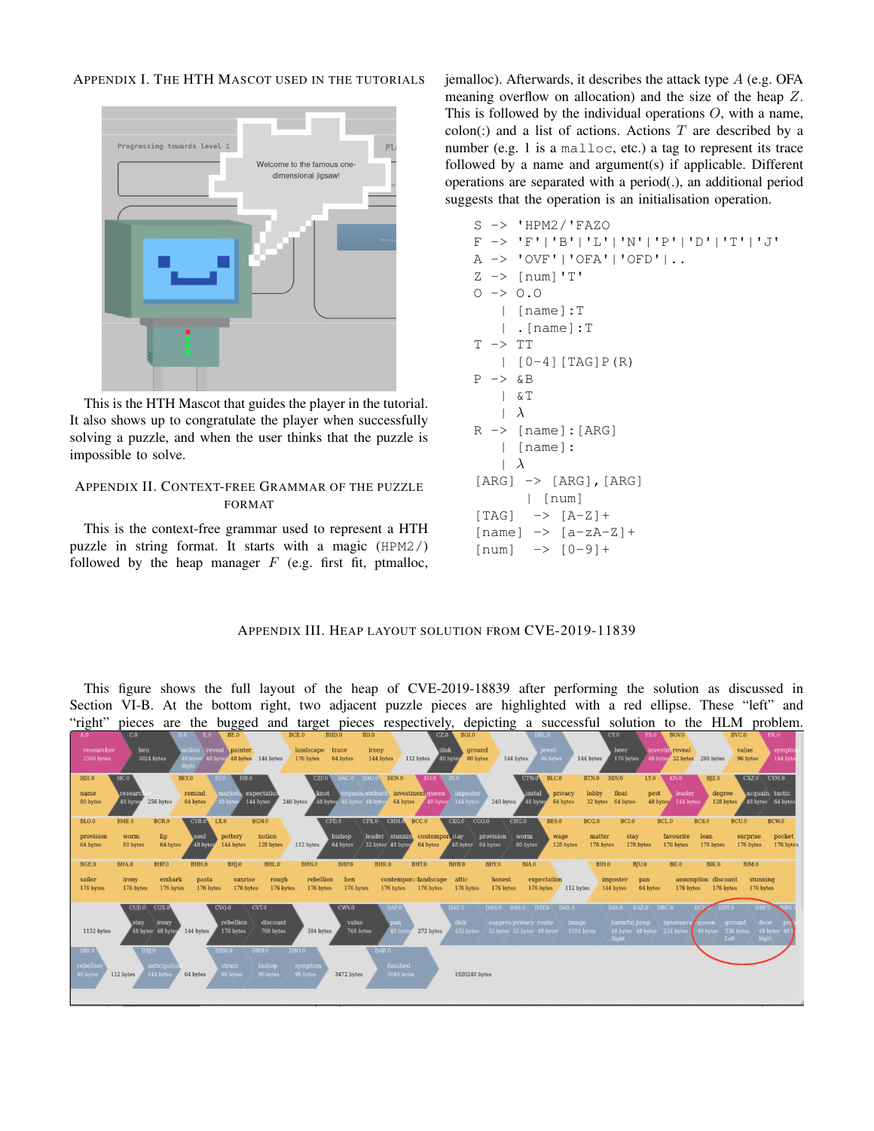APPENDIX I. THE HTH MASCOT USED IN THE TUTORIALS



This is the HTH Mascot that guides the player in the tutorial. It also shows up to congratulate the player when successfully solving a puzzle, and when the user thinks that the puzzle is impossible to solve.

# APPENDIX II. CONTEXT-FREE GRAMMAR OF THE PUZZLE FORMAT

This is the context-free grammar used to represent a HTH puzzle in string format. It starts with a magic (HPM2/) followed by the heap manager  $F$  (e.g. first fit, ptmalloc, jemalloc). Afterwards, it describes the attack type A (e.g. OFA meaning overflow on allocation) and the size of the heap Z. This is followed by the individual operations  $O$ , with a name,  $\text{colon}$  and a list of actions. Actions T are described by a number (e.g. 1 is a malloc, etc.) a tag to represent its trace followed by a name and argument(s) if applicable. Different operations are separated with a period(.), an additional period suggests that the operation is an initialisation operation.

```
S -> 'HPM2/'FAZO
F -> 'F'|'B'|'L'|'N'|'P'|'D'|'T'|'J'
A -> 'OVF'|'OFA'|'OFD'|..
Z \rightarrow \lceil \text{num} \rceil'T'
0 \rightarrow 0.0| [name]:T
    | .[name]:T
T \rightarrow TT[0-4] [TAG]P(R)
P -> &B
    | &T
    |\lambda|R \rightarrow [name]: [ARG]
    | [name]:
    |\lambda|[ARG] \rightarrow [ARG], [ARG]| [num]
[TAG] -> [A-Z]+
[name] \rightarrow [a-zA-Z]+
[num] -> [0-9]+
```
# APPENDIX III. HEAP LAYOUT SOLUTION FROM CVE-2019-11839

This figure shows the full layout of the heap of CVE-2019-18839 after performing the solution as discussed in Section VI-B. At the bottom right, two adjacent puzzle pieces are highlighted with a red ellipse. These "left" and "right" pieces are the bugged and target pieces respectively, depicting a successful solution to the HLM problem.